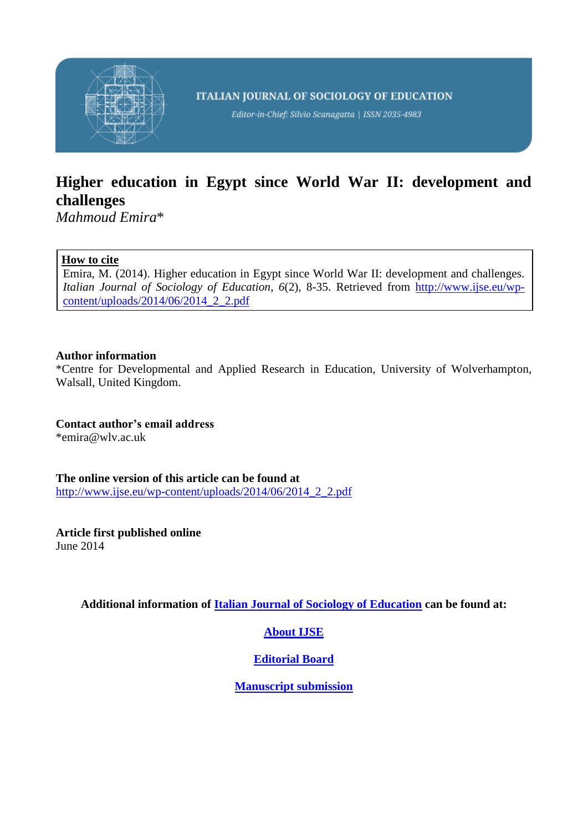

**ITALIAN JOURNAL OF SOCIOLOGY OF EDUCATION** 

Editor-in-Chief: Silvio Scanagatta | ISSN 2035-4983

# **Higher education in Egypt since World War II: development and challenges**

*Mahmoud Emira*\*

# **How to cite**

Emira, M. (2014). Higher education in Egypt since World War II: development and challenges. *Italian Journal of Sociology of Education*, *6*(2), 8-35. Retrieved from [http://www.ijse.eu/wp](http://www.ijse.eu/wp-content/uploads/2014/06/2014_2_2.pdf)[content/uploads/2014/06/2014\\_2\\_2.pdf](http://www.ijse.eu/wp-content/uploads/2014/06/2014_2_2.pdf)

# **Author information**

\*Centre for Developmental and Applied Research in Education, University of Wolverhampton, Walsall, United Kingdom.

**Contact author's email address** \*emira@wlv.ac.uk

**The online version of this article can be found at** [http://www.ijse.eu/wp-content/uploads/2014/06/2014\\_2\\_2.pdf](http://www.ijse.eu/wp-content/uploads/2014/06/2014_2_2.pdf)

**Article first published online** June 2014

**Additional information of [Italian Journal of Sociology of Education](http://www.ijse.eu/) can be found at:**

# **[About IJSE](http://www.ijse.eu/about-ijse/)**

# **[Editorial Board](http://www.ijse.eu/people/)**

**[Manuscript submission](http://www.ijse.eu/manuscript-submission/)**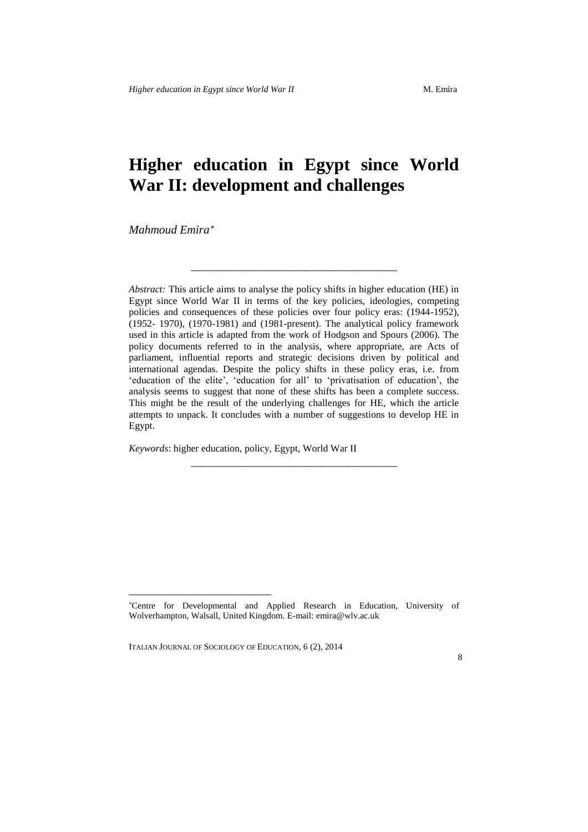# **Higher education in Egypt since World War II: development and challenges**

\_\_\_\_\_\_\_\_\_\_\_\_\_\_\_\_\_\_\_\_\_\_\_\_\_\_\_\_\_\_\_\_\_\_\_\_\_\_

*Mahmoud Emira*

-

*Abstract:* This article aims to analyse the policy shifts in higher education (HE) in Egypt since World War II in terms of the key policies, ideologies, competing policies and consequences of these policies over four policy eras: (1944-1952), (1952- 1970), (1970-1981) and (1981-present). The analytical policy framework used in this article is adapted from the work of Hodgson and Spours (2006). The policy documents referred to in the analysis, where appropriate, are Acts of parliament, influential reports and strategic decisions driven by political and international agendas. Despite the policy shifts in these policy eras, i.e. from 'education of the elite', 'education for all' to 'privatisation of education', the analysis seems to suggest that none of these shifts has been a complete success. This might be the result of the underlying challenges for HE, which the article attempts to unpack. It concludes with a number of suggestions to develop HE in Egypt.

\_\_\_\_\_\_\_\_\_\_\_\_\_\_\_\_\_\_\_\_\_\_\_\_\_\_\_\_\_\_\_\_\_\_\_\_\_\_

*Keywords*: higher education, policy, Egypt, World War II

ITALIAN JOURNAL OF SOCIOLOGY OF EDUCATION, 6 (2), 2014

Centre for Developmental and Applied Research in Education, University of Wolverhampton, Walsall, United Kingdom. E-mail: emira@wlv.ac.uk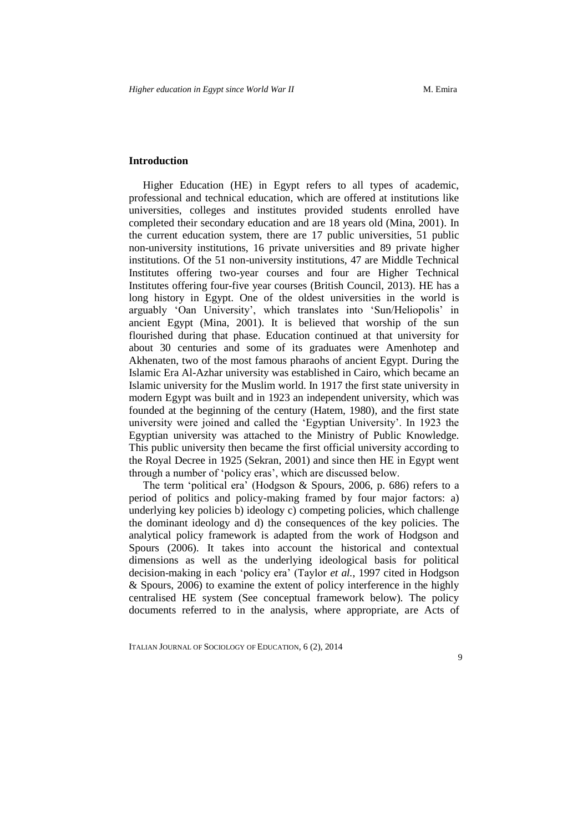# **Introduction**

Higher Education (HE) in Egypt refers to all types of academic, professional and technical education, which are offered at institutions like universities, colleges and institutes provided students enrolled have completed their secondary education and are 18 years old (Mina, 2001). In the current education system, there are 17 public universities, 51 public non-university institutions, 16 private universities and 89 private higher institutions. Of the 51 non-university institutions, 47 are Middle Technical Institutes offering two-year courses and four are Higher Technical Institutes offering four-five year courses (British Council, 2013). HE has a long history in Egypt. One of the oldest universities in the world is arguably 'Oan University', which translates into 'Sun/Heliopolis' in ancient Egypt (Mina, 2001). It is believed that worship of the sun flourished during that phase. Education continued at that university for about 30 centuries and some of its graduates were Amenhotep and Akhenaten, two of the most famous pharaohs of ancient Egypt. During the Islamic Era Al-Azhar university was established in Cairo, which became an Islamic university for the Muslim world. In 1917 the first state university in modern Egypt was built and in 1923 an independent university, which was founded at the beginning of the century (Hatem, 1980), and the first state university were joined and called the 'Egyptian University'. In 1923 the Egyptian university was attached to the Ministry of Public Knowledge. This public university then became the first official university according to the Royal Decree in 1925 (Sekran, 2001) and since then HE in Egypt went through a number of 'policy eras', which are discussed below.

The term 'political era' (Hodgson & Spours, 2006, p. 686) refers to a period of politics and policy-making framed by four major factors: a) underlying key policies b) ideology c) competing policies, which challenge the dominant ideology and d) the consequences of the key policies. The analytical policy framework is adapted from the work of Hodgson and Spours (2006). It takes into account the historical and contextual dimensions as well as the underlying ideological basis for political decision-making in each 'policy era' (Taylor *et al.*, 1997 cited in Hodgson & Spours, 2006) to examine the extent of policy interference in the highly centralised HE system (See conceptual framework below). The policy documents referred to in the analysis, where appropriate, are Acts of

ITALIAN JOURNAL OF SOCIOLOGY OF EDUCATION, 6 (2), 2014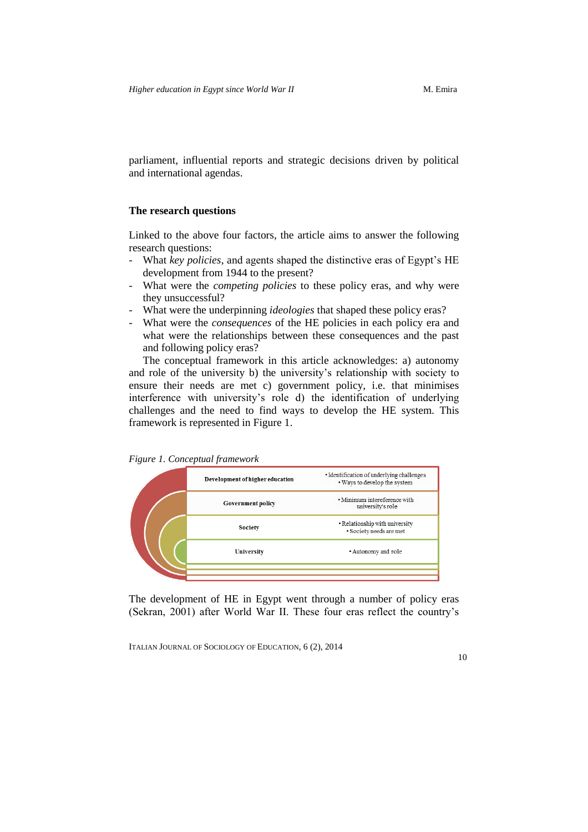parliament, influential reports and strategic decisions driven by political and international agendas.

# **The research questions**

Linked to the above four factors, the article aims to answer the following research questions:

- What *key policies*, and agents shaped the distinctive eras of Egypt's HE development from 1944 to the present?
- What were the *competing policies* to these policy eras, and why were they unsuccessful?
- What were the underpinning *ideologies* that shaped these policy eras?
- What were the *consequences* of the HE policies in each policy era and what were the relationships between these consequences and the past and following policy eras?

The conceptual framework in this article acknowledges: a) autonomy and role of the university b) the university's relationship with society to ensure their needs are met c) government policy, i.e. that minimises interference with university's role d) the identification of underlying challenges and the need to find ways to develop the HE system. This framework is represented in Figure 1.

*Figure 1. Conceptual framework*

|  | Development of higher education | • Identification of underlying challenges<br>. Ways to develop the system |
|--|---------------------------------|---------------------------------------------------------------------------|
|  | <b>Government policy</b>        | • Minimum intereference with<br>university's role                         |
|  | Society                         | • Relationship with university<br>· Society needs are met                 |
|  | University                      | • Autonomy and role                                                       |
|  |                                 |                                                                           |

The development of HE in Egypt went through a number of policy eras (Sekran, 2001) after World War II. These four eras reflect the country's

ITALIAN JOURNAL OF SOCIOLOGY OF EDUCATION, 6 (2), 2014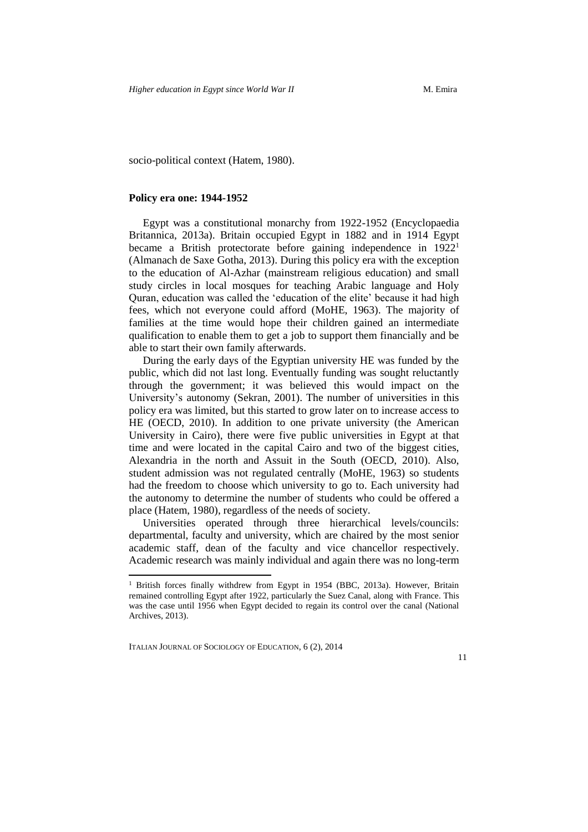socio-political context (Hatem, 1980).

#### **Policy era one: 1944-1952**

Egypt was a constitutional monarchy from 1922-1952 (Encyclopaedia Britannica, 2013a). Britain occupied Egypt in 1882 and in 1914 Egypt became a British protectorate before gaining independence in 1922<sup>1</sup> (Almanach de Saxe Gotha, 2013). During this policy era with the exception to the education of Al-Azhar (mainstream religious education) and small study circles in local mosques for teaching Arabic language and Holy Quran, education was called the 'education of the elite' because it had high fees, which not everyone could afford (MoHE, 1963). The majority of families at the time would hope their children gained an intermediate qualification to enable them to get a job to support them financially and be able to start their own family afterwards.

During the early days of the Egyptian university HE was funded by the public, which did not last long. Eventually funding was sought reluctantly through the government; it was believed this would impact on the University's autonomy (Sekran, 2001). The number of universities in this policy era was limited, but this started to grow later on to increase access to HE (OECD, 2010). In addition to one private university (the American University in Cairo), there were five public universities in Egypt at that time and were located in the capital Cairo and two of the biggest cities, Alexandria in the north and Assuit in the South (OECD, 2010). Also, student admission was not regulated centrally (MoHE, 1963) so students had the freedom to choose which university to go to. Each university had the autonomy to determine the number of students who could be offered a place (Hatem, 1980), regardless of the needs of society.

Universities operated through three hierarchical levels/councils: departmental, faculty and university, which are chaired by the most senior academic staff, dean of the faculty and vice chancellor respectively. Academic research was mainly individual and again there was no long-term

ITALIAN JOURNAL OF SOCIOLOGY OF EDUCATION, 6 (2), 2014

-

<sup>&</sup>lt;sup>1</sup> British forces finally withdrew from Egypt in 1954 (BBC, 2013a). However, Britain remained controlling Egypt after 1922, particularly the Suez Canal, along with France. This was the case until 1956 when Egypt decided to regain its control over the canal (National Archives, 2013).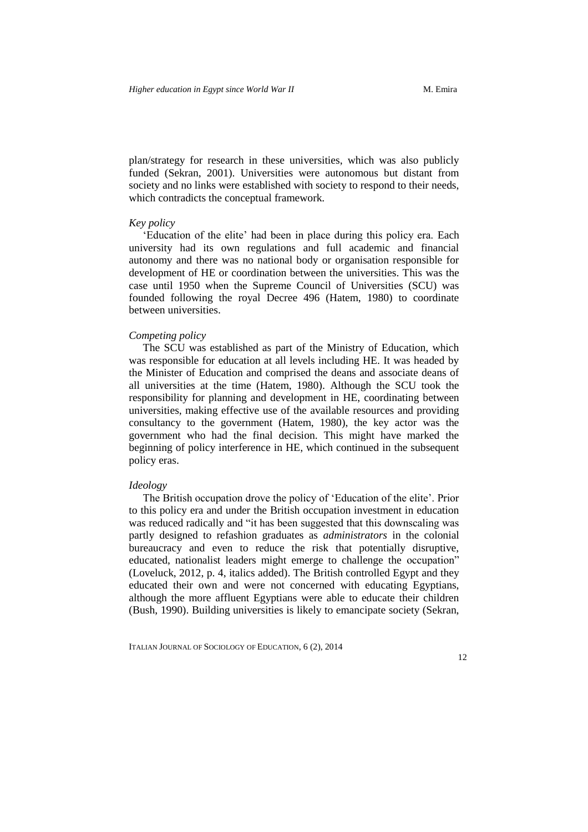plan/strategy for research in these universities, which was also publicly funded (Sekran, 2001). Universities were autonomous but distant from society and no links were established with society to respond to their needs, which contradicts the conceptual framework.

#### *Key policy*

'Education of the elite' had been in place during this policy era. Each university had its own regulations and full academic and financial autonomy and there was no national body or organisation responsible for development of HE or coordination between the universities. This was the case until 1950 when the Supreme Council of Universities (SCU) was founded following the royal Decree 496 (Hatem, 1980) to coordinate between universities.

#### *Competing policy*

The SCU was established as part of the Ministry of Education, which was responsible for education at all levels including HE. It was headed by the Minister of Education and comprised the deans and associate deans of all universities at the time (Hatem, 1980). Although the SCU took the responsibility for planning and development in HE, coordinating between universities, making effective use of the available resources and providing consultancy to the government (Hatem, 1980), the key actor was the government who had the final decision. This might have marked the beginning of policy interference in HE, which continued in the subsequent policy eras.

### *Ideology*

The British occupation drove the policy of 'Education of the elite'. Prior to this policy era and under the British occupation investment in education was reduced radically and "it has been suggested that this downscaling was partly designed to refashion graduates as *administrators* in the colonial bureaucracy and even to reduce the risk that potentially disruptive, educated, nationalist leaders might emerge to challenge the occupation" (Loveluck, 2012, p. 4, italics added). The British controlled Egypt and they educated their own and were not concerned with educating Egyptians, although the more affluent Egyptians were able to educate their children (Bush, 1990). Building universities is likely to emancipate society (Sekran,

ITALIAN JOURNAL OF SOCIOLOGY OF EDUCATION, 6 (2), 2014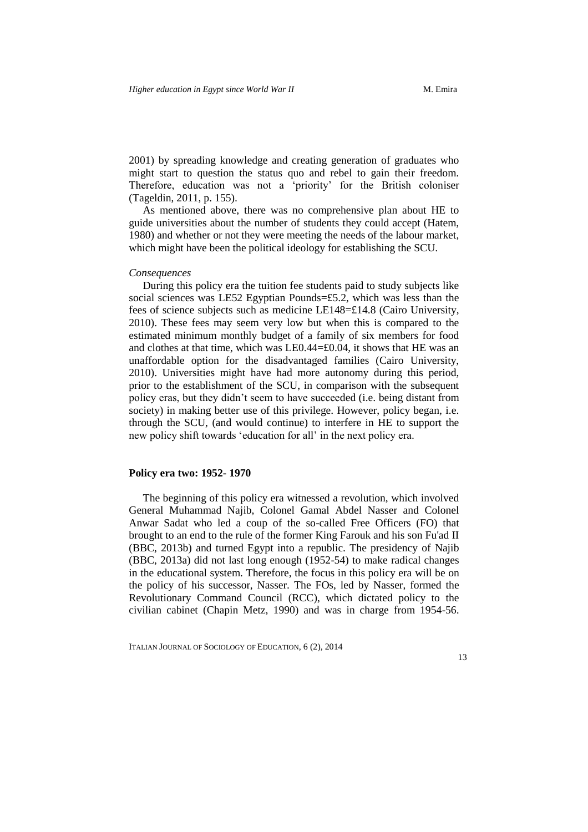2001) by spreading knowledge and creating generation of graduates who might start to question the status quo and rebel to gain their freedom. Therefore, education was not a 'priority' for the British coloniser (Tageldin, 2011, p. 155).

As mentioned above, there was no comprehensive plan about HE to guide universities about the number of students they could accept (Hatem, 1980) and whether or not they were meeting the needs of the labour market, which might have been the political ideology for establishing the SCU.

#### *Consequences*

During this policy era the tuition fee students paid to study subjects like social sciences was LE52 Egyptian Pounds=£5.2, which was less than the fees of science subjects such as medicine LE148=£14.8 (Cairo University, 2010). These fees may seem very low but when this is compared to the estimated minimum monthly budget of a family of six members for food and clothes at that time, which was LE0.44=£0.04, it shows that HE was an unaffordable option for the disadvantaged families (Cairo University, 2010). Universities might have had more autonomy during this period, prior to the establishment of the SCU, in comparison with the subsequent policy eras, but they didn't seem to have succeeded (i.e. being distant from society) in making better use of this privilege. However, policy began, i.e. through the SCU, (and would continue) to interfere in HE to support the new policy shift towards 'education for all' in the next policy era.

# **Policy era two: 1952- 1970**

The beginning of this policy era witnessed a revolution, which involved General Muhammad Najib, Colonel Gamal Abdel Nasser and Colonel Anwar Sadat who led a coup of the so-called Free Officers (FO) that brought to an end to the rule of the former King Farouk and his son Fu'ad II (BBC, 2013b) and turned Egypt into a republic. The presidency of Najib (BBC, 2013a) did not last long enough (1952-54) to make radical changes in the educational system. Therefore, the focus in this policy era will be on the policy of his successor, Nasser. The FOs, led by Nasser, formed the Revolutionary Command Council (RCC), which dictated policy to the civilian cabinet (Chapin Metz, 1990) and was in charge from 1954-56.

ITALIAN JOURNAL OF SOCIOLOGY OF EDUCATION, 6 (2), 2014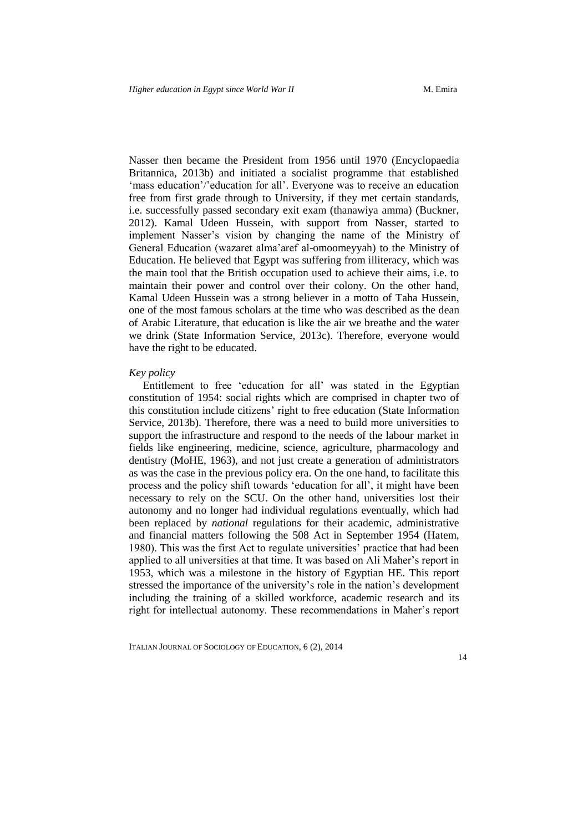Nasser then became the President from 1956 until 1970 (Encyclopaedia Britannica, 2013b) and initiated a socialist programme that established 'mass education'/'education for all'. Everyone was to receive an education free from first grade through to University, if they met certain standards, i.e. successfully passed secondary exit exam (thanawiya amma) (Buckner, 2012). Kamal Udeen Hussein, with support from Nasser, started to implement Nasser's vision by changing the name of the Ministry of General Education (wazaret alma'aref al-omoomeyyah) to the Ministry of Education. He believed that Egypt was suffering from illiteracy, which was the main tool that the British occupation used to achieve their aims, i.e. to maintain their power and control over their colony. On the other hand, Kamal Udeen Hussein was a strong believer in a motto of Taha Hussein, one of the most famous scholars at the time who was described as the dean of Arabic Literature, that education is like the air we breathe and the water we drink (State Information Service, 2013c). Therefore, everyone would have the right to be educated.

#### *Key policy*

Entitlement to free 'education for all' was stated in the Egyptian constitution of 1954: social rights which are comprised in chapter two of this constitution include citizens' right to free education (State Information Service, 2013b). Therefore, there was a need to build more universities to support the infrastructure and respond to the needs of the labour market in fields like engineering, medicine, science, agriculture, pharmacology and dentistry (MoHE, 1963), and not just create a generation of administrators as was the case in the previous policy era. On the one hand, to facilitate this process and the policy shift towards 'education for all', it might have been necessary to rely on the SCU. On the other hand, universities lost their autonomy and no longer had individual regulations eventually, which had been replaced by *national* regulations for their academic, administrative and financial matters following the 508 Act in September 1954 (Hatem, 1980). This was the first Act to regulate universities' practice that had been applied to all universities at that time. It was based on Ali Maher's report in 1953, which was a milestone in the history of Egyptian HE. This report stressed the importance of the university's role in the nation's development including the training of a skilled workforce, academic research and its right for intellectual autonomy. These recommendations in Maher's report

ITALIAN JOURNAL OF SOCIOLOGY OF EDUCATION, 6 (2), 2014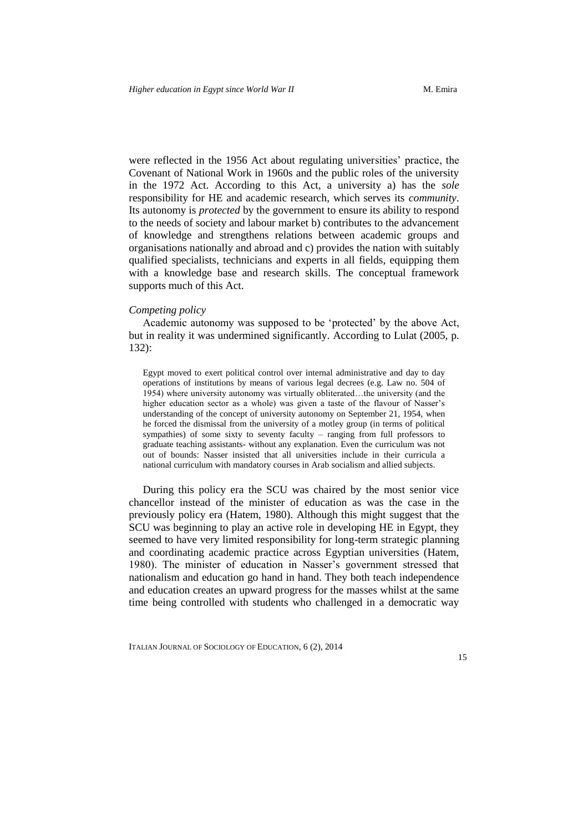were reflected in the 1956 Act about regulating universities' practice, the Covenant of National Work in 1960s and the public roles of the university in the 1972 Act. According to this Act, a university a) has the *sole* responsibility for HE and academic research, which serves its *community*. Its autonomy is *protected* by the government to ensure its ability to respond to the needs of society and labour market b) contributes to the advancement of knowledge and strengthens relations between academic groups and organisations nationally and abroad and c) provides the nation with suitably qualified specialists, technicians and experts in all fields, equipping them with a knowledge base and research skills. The conceptual framework supports much of this Act.

### *Competing policy*

Academic autonomy was supposed to be 'protected' by the above Act, but in reality it was undermined significantly. According to Lulat (2005, p. 132):

Egypt moved to exert political control over internal administrative and day to day operations of institutions by means of various legal decrees (e.g. Law no. 504 of 1954) where university autonomy was virtually obliterated…the university (and the higher education sector as a whole) was given a taste of the flavour of Nasser's understanding of the concept of university autonomy on September 21, 1954, when he forced the dismissal from the university of a motley group (in terms of political sympathies) of some sixty to seventy faculty – ranging from full professors to graduate teaching assistants- without any explanation. Even the curriculum was not out of bounds: Nasser insisted that all universities include in their curricula a national curriculum with mandatory courses in Arab socialism and allied subjects.

During this policy era the SCU was chaired by the most senior vice chancellor instead of the minister of education as was the case in the previously policy era (Hatem, 1980). Although this might suggest that the SCU was beginning to play an active role in developing HE in Egypt, they seemed to have very limited responsibility for long-term strategic planning and coordinating academic practice across Egyptian universities (Hatem, 1980). The minister of education in Nasser's government stressed that nationalism and education go hand in hand. They both teach independence and education creates an upward progress for the masses whilst at the same time being controlled with students who challenged in a democratic way

ITALIAN JOURNAL OF SOCIOLOGY OF EDUCATION, 6 (2), 2014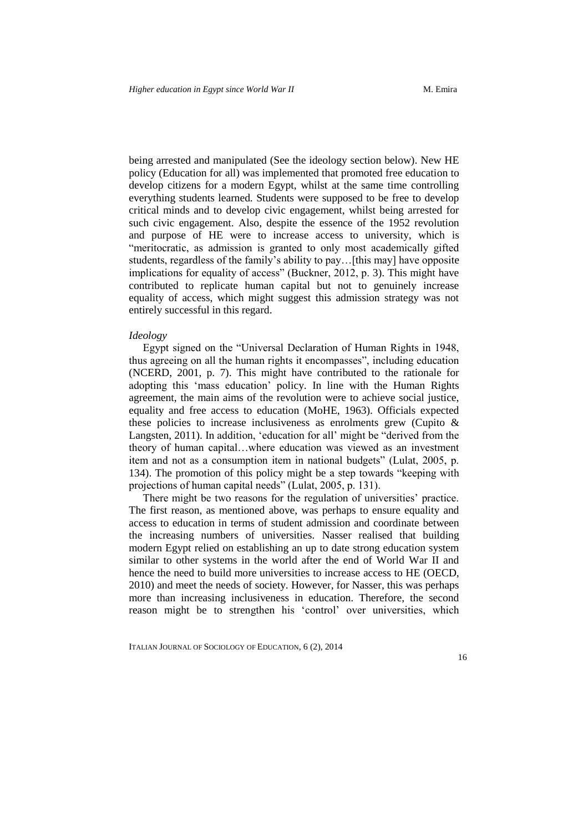being arrested and manipulated (See the ideology section below). New HE policy (Education for all) was implemented that promoted free education to develop citizens for a modern Egypt, whilst at the same time controlling everything students learned. Students were supposed to be free to develop critical minds and to develop civic engagement, whilst being arrested for such civic engagement. Also, despite the essence of the 1952 revolution and purpose of HE were to increase access to university, which is "meritocratic, as admission is granted to only most academically gifted students, regardless of the family's ability to pay…[this may] have opposite implications for equality of access" (Buckner, 2012, p. 3). This might have contributed to replicate human capital but not to genuinely increase equality of access, which might suggest this admission strategy was not entirely successful in this regard.

#### *Ideology*

Egypt signed on the "Universal Declaration of Human Rights in 1948, thus agreeing on all the human rights it encompasses", including education (NCERD, 2001, p. 7). This might have contributed to the rationale for adopting this 'mass education' policy. In line with the Human Rights agreement, the main aims of the revolution were to achieve social justice, equality and free access to education (MoHE, 1963). Officials expected these policies to increase inclusiveness as enrolments grew (Cupito  $\&$ Langsten, 2011). In addition, 'education for all' might be "derived from the theory of human capital…where education was viewed as an investment item and not as a consumption item in national budgets" (Lulat, 2005, p. 134). The promotion of this policy might be a step towards "keeping with projections of human capital needs" (Lulat, 2005, p. 131).

There might be two reasons for the regulation of universities' practice. The first reason, as mentioned above, was perhaps to ensure equality and access to education in terms of student admission and coordinate between the increasing numbers of universities. Nasser realised that building modern Egypt relied on establishing an up to date strong education system similar to other systems in the world after the end of World War II and hence the need to build more universities to increase access to HE (OECD, 2010) and meet the needs of society. However, for Nasser, this was perhaps more than increasing inclusiveness in education. Therefore, the second reason might be to strengthen his 'control' over universities, which

ITALIAN JOURNAL OF SOCIOLOGY OF EDUCATION, 6 (2), 2014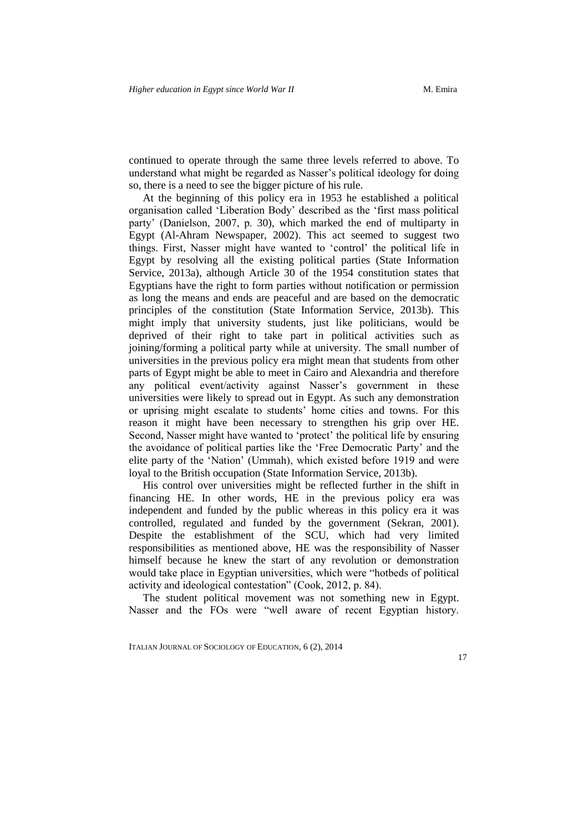continued to operate through the same three levels referred to above. To understand what might be regarded as Nasser's political ideology for doing so, there is a need to see the bigger picture of his rule.

At the beginning of this policy era in 1953 he established a political organisation called 'Liberation Body' described as the 'first mass political party' (Danielson, 2007, p. 30), which marked the end of multiparty in Egypt (Al-Ahram Newspaper, 2002). This act seemed to suggest two things. First, Nasser might have wanted to 'control' the political life in Egypt by resolving all the existing political parties (State Information Service, 2013a), although Article 30 of the 1954 constitution states that Egyptians have the right to form parties without notification or permission as long the means and ends are peaceful and are based on the democratic principles of the constitution (State Information Service, 2013b). This might imply that university students, just like politicians, would be deprived of their right to take part in political activities such as joining/forming a political party while at university. The small number of universities in the previous policy era might mean that students from other parts of Egypt might be able to meet in Cairo and Alexandria and therefore any political event/activity against Nasser's government in these universities were likely to spread out in Egypt. As such any demonstration or uprising might escalate to students' home cities and towns. For this reason it might have been necessary to strengthen his grip over HE. Second, Nasser might have wanted to 'protect' the political life by ensuring the avoidance of political parties like the 'Free Democratic Party' and the elite party of the 'Nation' (Ummah), which existed before 1919 and were loyal to the British occupation (State Information Service, 2013b).

His control over universities might be reflected further in the shift in financing HE. In other words, HE in the previous policy era was independent and funded by the public whereas in this policy era it was controlled, regulated and funded by the government (Sekran, 2001). Despite the establishment of the SCU, which had very limited responsibilities as mentioned above, HE was the responsibility of Nasser himself because he knew the start of any revolution or demonstration would take place in Egyptian universities, which were "hotbeds of political activity and ideological contestation" (Cook, 2012, p. 84).

The student political movement was not something new in Egypt. Nasser and the FOs were "well aware of recent Egyptian history.

ITALIAN JOURNAL OF SOCIOLOGY OF EDUCATION, 6 (2), 2014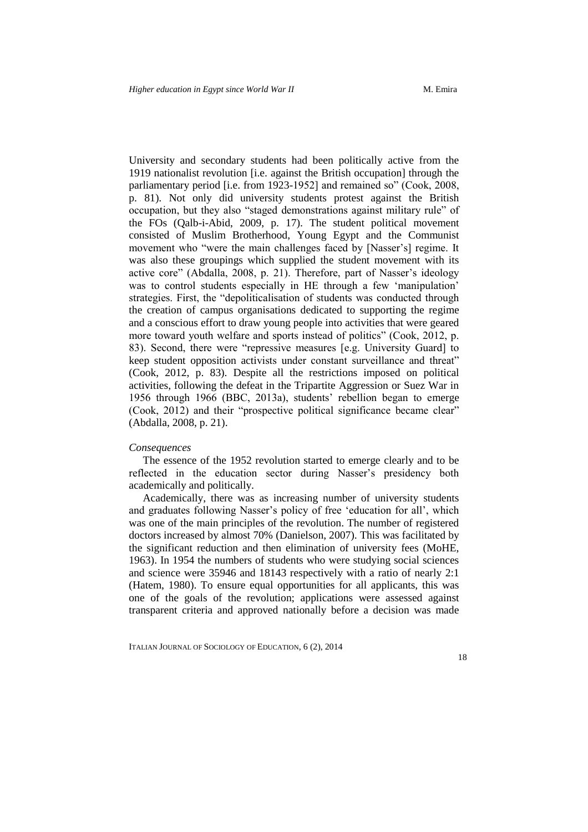University and secondary students had been politically active from the 1919 nationalist revolution [i.e. against the British occupation] through the parliamentary period [i.e. from 1923-1952] and remained so" (Cook, 2008, p. 81). Not only did university students protest against the British occupation, but they also "staged demonstrations against military rule" of the FOs (Qalb-i-Abid, 2009, p. 17). The student political movement consisted of Muslim Brotherhood, Young Egypt and the Communist movement who "were the main challenges faced by [Nasser's] regime. It was also these groupings which supplied the student movement with its active core" (Abdalla, 2008, p. 21). Therefore, part of Nasser's ideology was to control students especially in HE through a few 'manipulation' strategies. First, the "depoliticalisation of students was conducted through the creation of campus organisations dedicated to supporting the regime and a conscious effort to draw young people into activities that were geared more toward youth welfare and sports instead of politics" (Cook, 2012, p. 83). Second, there were "repressive measures [e.g. University Guard] to keep student opposition activists under constant surveillance and threat" (Cook, 2012, p. 83). Despite all the restrictions imposed on political activities, following the defeat in the Tripartite Aggression or Suez War in 1956 through 1966 (BBC, 2013a), students' rebellion began to emerge (Cook, 2012) and their "prospective political significance became clear" (Abdalla, 2008, p. 21).

#### *Consequences*

The essence of the 1952 revolution started to emerge clearly and to be reflected in the education sector during Nasser's presidency both academically and politically.

Academically, there was as increasing number of university students and graduates following Nasser's policy of free 'education for all', which was one of the main principles of the revolution. The number of registered doctors increased by almost 70% (Danielson, 2007). This was facilitated by the significant reduction and then elimination of university fees (MoHE, 1963). In 1954 the numbers of students who were studying social sciences and science were 35946 and 18143 respectively with a ratio of nearly 2:1 (Hatem, 1980). To ensure equal opportunities for all applicants, this was one of the goals of the revolution; applications were assessed against transparent criteria and approved nationally before a decision was made

ITALIAN JOURNAL OF SOCIOLOGY OF EDUCATION, 6 (2), 2014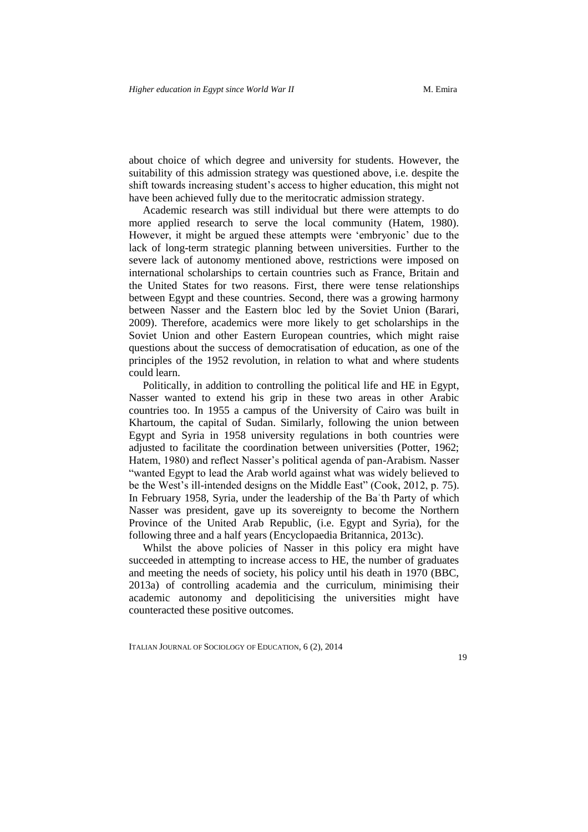about choice of which degree and university for students. However, the suitability of this admission strategy was questioned above, i.e. despite the shift towards increasing student's access to higher education, this might not have been achieved fully due to the meritocratic admission strategy.

Academic research was still individual but there were attempts to do more applied research to serve the local community (Hatem, 1980). However, it might be argued these attempts were 'embryonic' due to the lack of long-term strategic planning between universities. Further to the severe lack of autonomy mentioned above, restrictions were imposed on international scholarships to certain countries such as France, Britain and the United States for two reasons. First, there were tense relationships between Egypt and these countries. Second, there was a growing harmony between Nasser and the Eastern bloc led by the Soviet Union (Barari, 2009). Therefore, academics were more likely to get scholarships in the Soviet Union and other Eastern European countries, which might raise questions about the success of democratisation of education, as one of the principles of the 1952 revolution, in relation to what and where students could learn.

Politically, in addition to controlling the political life and HE in Egypt, Nasser wanted to extend his grip in these two areas in other Arabic countries too. In 1955 a campus of the University of Cairo was built in Khartoum, the capital of Sudan. Similarly, following the union between Egypt and Syria in 1958 university regulations in both countries were adjusted to facilitate the coordination between universities (Potter, 1962; Hatem, 1980) and reflect Nasser's political agenda of pan-Arabism. Nasser "wanted Egypt to lead the Arab world against what was widely believed to be the West's ill-intended designs on the Middle East" (Cook, 2012, p. 75). In February 1958, Syria, under the leadership of the Baʿth Party of which Nasser was president, gave up its sovereignty to become the Northern Province of the United Arab Republic, (i.e. Egypt and Syria), for the following three and a half years (Encyclopaedia Britannica, 2013c).

Whilst the above policies of Nasser in this policy era might have succeeded in attempting to increase access to HE, the number of graduates and meeting the needs of society, his policy until his death in 1970 (BBC, 2013a) of controlling academia and the curriculum, minimising their academic autonomy and depoliticising the universities might have counteracted these positive outcomes.

ITALIAN JOURNAL OF SOCIOLOGY OF EDUCATION, 6 (2), 2014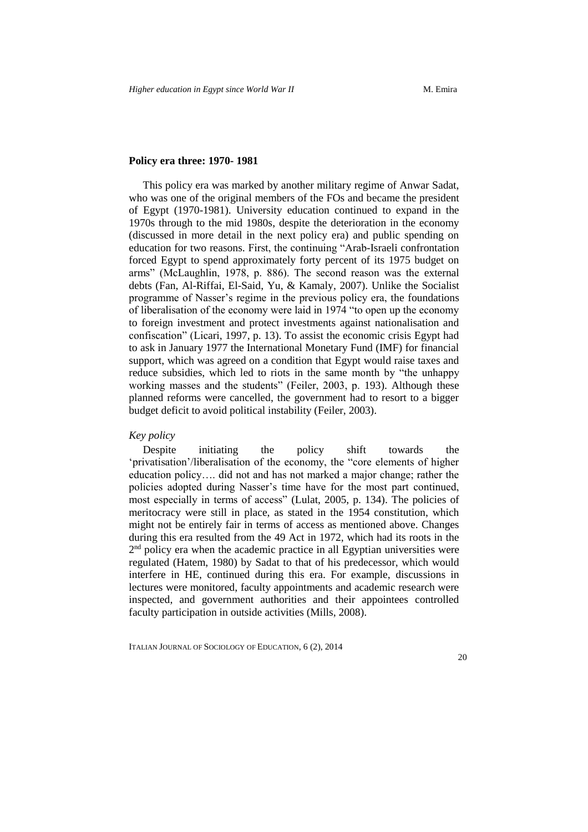### **Policy era three: 1970- 1981**

This policy era was marked by another military regime of Anwar Sadat, who was one of the original members of the FOs and became the president of Egypt (1970-1981). University education continued to expand in the 1970s through to the mid 1980s, despite the deterioration in the economy (discussed in more detail in the next policy era) and public spending on education for two reasons. First, the continuing "Arab-Israeli confrontation forced Egypt to spend approximately forty percent of its 1975 budget on arms" (McLaughlin, 1978, p. 886). The second reason was the external debts (Fan, Al-Riffai, El-Said, Yu, & Kamaly, 2007). Unlike the Socialist programme of Nasser's regime in the previous policy era, the foundations of liberalisation of the economy were laid in 1974 "to open up the economy to foreign investment and protect investments against nationalisation and confiscation" (Licari, 1997, p. 13). To assist the economic crisis Egypt had to ask in January 1977 the International Monetary Fund (IMF) for financial support, which was agreed on a condition that Egypt would raise taxes and reduce subsidies, which led to riots in the same month by "the unhappy working masses and the students" (Feiler, 2003, p. 193). Although these planned reforms were cancelled, the government had to resort to a bigger budget deficit to avoid political instability (Feiler, 2003).

#### *Key policy*

Despite initiating the policy shift towards the 'privatisation'/liberalisation of the economy, the "core elements of higher education policy…. did not and has not marked a major change; rather the policies adopted during Nasser's time have for the most part continued, most especially in terms of access" (Lulat, 2005, p. 134). The policies of meritocracy were still in place, as stated in the 1954 constitution, which might not be entirely fair in terms of access as mentioned above. Changes during this era resulted from the 49 Act in 1972, which had its roots in the  $2<sup>nd</sup>$  policy era when the academic practice in all Egyptian universities were regulated (Hatem, 1980) by Sadat to that of his predecessor, which would interfere in HE, continued during this era. For example, discussions in lectures were monitored, faculty appointments and academic research were inspected, and government authorities and their appointees controlled faculty participation in outside activities (Mills, 2008).

ITALIAN JOURNAL OF SOCIOLOGY OF EDUCATION, 6 (2), 2014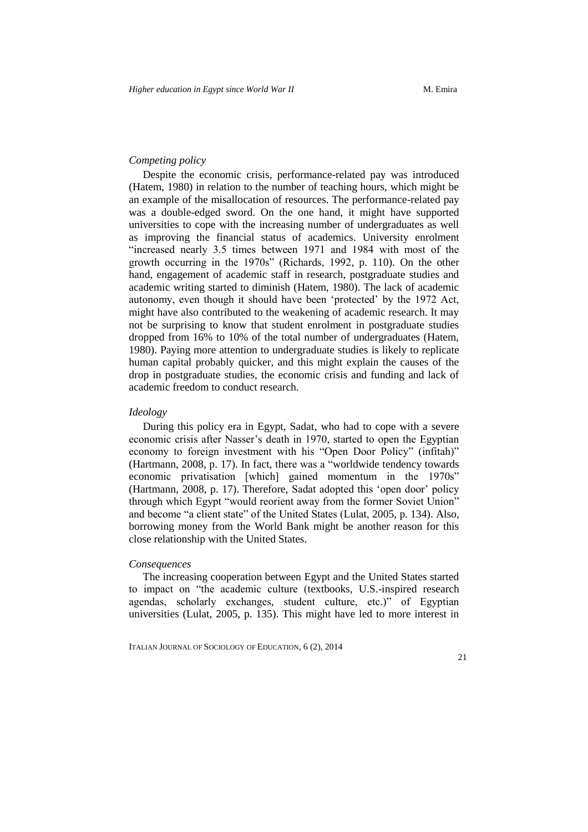# *Competing policy*

Despite the economic crisis, performance-related pay was introduced (Hatem, 1980) in relation to the number of teaching hours, which might be an example of the misallocation of resources. The performance-related pay was a double-edged sword. On the one hand, it might have supported universities to cope with the increasing number of undergraduates as well as improving the financial status of academics. University enrolment "increased nearly 3.5 times between 1971 and 1984 with most of the growth occurring in the 1970s" (Richards, 1992, p. 110). On the other hand, engagement of academic staff in research, postgraduate studies and academic writing started to diminish (Hatem, 1980). The lack of academic autonomy, even though it should have been 'protected' by the 1972 Act, might have also contributed to the weakening of academic research. It may not be surprising to know that student enrolment in postgraduate studies dropped from 16% to 10% of the total number of undergraduates (Hatem, 1980). Paying more attention to undergraduate studies is likely to replicate human capital probably quicker, and this might explain the causes of the drop in postgraduate studies, the economic crisis and funding and lack of academic freedom to conduct research.

#### *Ideology*

During this policy era in Egypt, Sadat, who had to cope with a severe economic crisis after Nasser's death in 1970, started to open the Egyptian economy to foreign investment with his "Open Door Policy" (infitah)" (Hartmann, 2008, p. 17). In fact, there was a "worldwide tendency towards economic privatisation [which] gained momentum in the 1970s" (Hartmann, 2008, p. 17). Therefore, Sadat adopted this 'open door' policy through which Egypt "would reorient away from the former Soviet Union" and become "a client state" of the United States (Lulat, 2005, p. 134). Also, borrowing money from the World Bank might be another reason for this close relationship with the United States.

#### *Consequences*

The increasing cooperation between Egypt and the United States started to impact on "the academic culture (textbooks, U.S.-inspired research agendas, scholarly exchanges, student culture, etc.)" of Egyptian universities (Lulat, 2005, p. 135). This might have led to more interest in

ITALIAN JOURNAL OF SOCIOLOGY OF EDUCATION, 6 (2), 2014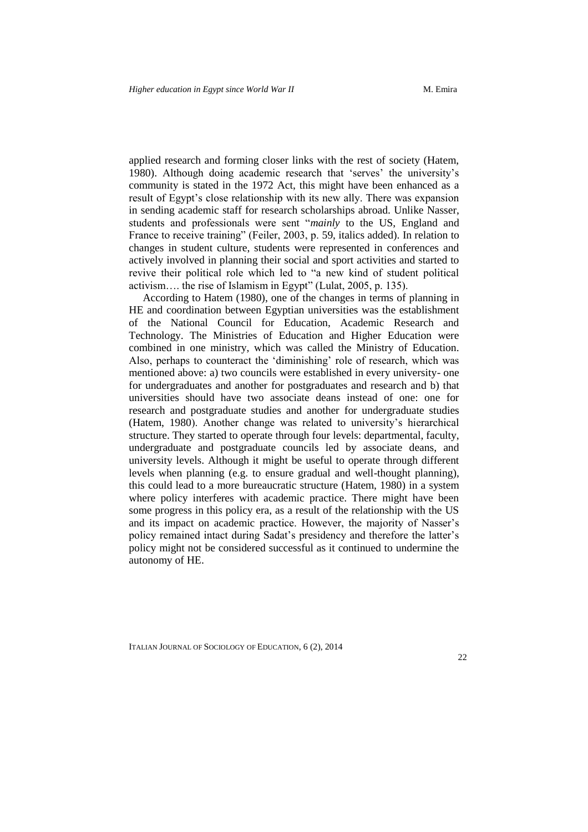applied research and forming closer links with the rest of society (Hatem, 1980). Although doing academic research that 'serves' the university's community is stated in the 1972 Act, this might have been enhanced as a result of Egypt's close relationship with its new ally. There was expansion in sending academic staff for research scholarships abroad. Unlike Nasser, students and professionals were sent "*mainly* to the US, England and France to receive training" (Feiler, 2003, p. 59, italics added). In relation to changes in student culture, students were represented in conferences and actively involved in planning their social and sport activities and started to revive their political role which led to "a new kind of student political activism…. the rise of Islamism in Egypt" (Lulat, 2005, p. 135).

According to Hatem (1980), one of the changes in terms of planning in HE and coordination between Egyptian universities was the establishment of the National Council for Education, Academic Research and Technology. The Ministries of Education and Higher Education were combined in one ministry, which was called the Ministry of Education. Also, perhaps to counteract the 'diminishing' role of research, which was mentioned above: a) two councils were established in every university- one for undergraduates and another for postgraduates and research and b) that universities should have two associate deans instead of one: one for research and postgraduate studies and another for undergraduate studies (Hatem, 1980). Another change was related to university's hierarchical structure. They started to operate through four levels: departmental, faculty, undergraduate and postgraduate councils led by associate deans, and university levels. Although it might be useful to operate through different levels when planning (e.g. to ensure gradual and well-thought planning), this could lead to a more bureaucratic structure (Hatem, 1980) in a system where policy interferes with academic practice. There might have been some progress in this policy era, as a result of the relationship with the US and its impact on academic practice. However, the majority of Nasser's policy remained intact during Sadat's presidency and therefore the latter's policy might not be considered successful as it continued to undermine the autonomy of HE.

ITALIAN JOURNAL OF SOCIOLOGY OF EDUCATION, 6 (2), 2014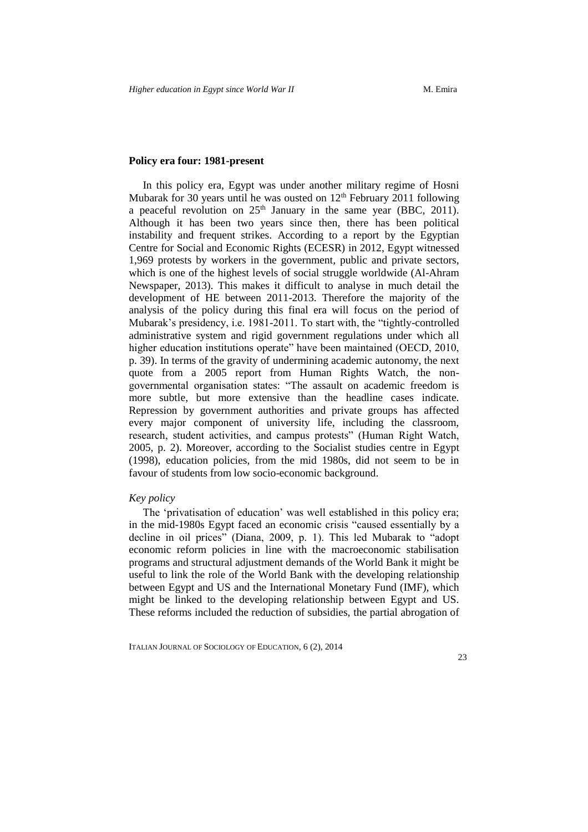# **Policy era four: 1981-present**

In this policy era, Egypt was under another military regime of Hosni Mubarak for 30 years until he was ousted on  $12<sup>th</sup>$  February 2011 following a peaceful revolution on  $25<sup>th</sup>$  January in the same year (BBC, 2011). Although it has been two years since then, there has been political instability and frequent strikes. According to a report by the Egyptian Centre for Social and Economic Rights (ECESR) in 2012, Egypt witnessed 1,969 protests by workers in the government, public and private sectors, which is one of the highest levels of social struggle worldwide (Al-Ahram Newspaper, 2013). This makes it difficult to analyse in much detail the development of HE between 2011-2013. Therefore the majority of the analysis of the policy during this final era will focus on the period of Mubarak's presidency, i.e. 1981-2011. To start with, the "tightly-controlled administrative system and rigid government regulations under which all higher education institutions operate" have been maintained (OECD, 2010, p. 39). In terms of the gravity of undermining academic autonomy, the next quote from a 2005 report from Human Rights Watch, the nongovernmental organisation states: "The assault on academic freedom is more subtle, but more extensive than the headline cases indicate. Repression by government authorities and private groups has affected every major component of university life, including the classroom, research, student activities, and campus protests" (Human Right Watch, 2005, p. 2). Moreover, according to the Socialist studies centre in Egypt (1998), education policies, from the mid 1980s, did not seem to be in favour of students from low socio-economic background.

#### *Key policy*

The 'privatisation of education' was well established in this policy era; in the mid-1980s Egypt faced an economic crisis "caused essentially by a decline in oil prices" (Diana, 2009, p. 1). This led Mubarak to "adopt economic reform policies in line with the macroeconomic stabilisation programs and structural adjustment demands of the World Bank it might be useful to link the role of the World Bank with the developing relationship between Egypt and US and the International Monetary Fund (IMF), which might be linked to the developing relationship between Egypt and US. These reforms included the reduction of subsidies, the partial abrogation of

ITALIAN JOURNAL OF SOCIOLOGY OF EDUCATION, 6 (2), 2014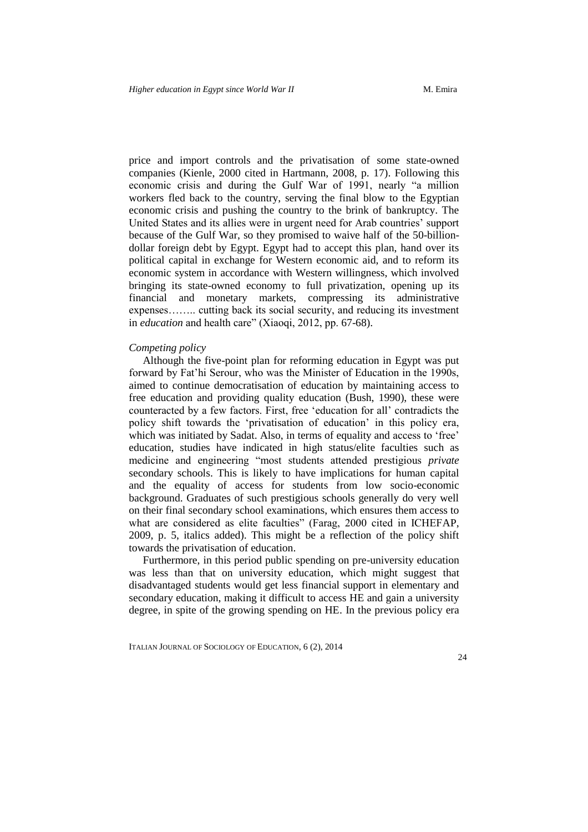price and import controls and the privatisation of some state-owned companies (Kienle, 2000 cited in Hartmann, 2008, p. 17). Following this economic crisis and during the Gulf War of 1991, nearly "a million workers fled back to the country, serving the final blow to the Egyptian economic crisis and pushing the country to the brink of bankruptcy. The United States and its allies were in urgent need for Arab countries' support because of the Gulf War, so they promised to waive half of the 50-billiondollar foreign debt by Egypt. Egypt had to accept this plan, hand over its political capital in exchange for Western economic aid, and to reform its economic system in accordance with Western willingness, which involved bringing its state-owned economy to full privatization, opening up its financial and monetary markets, compressing its administrative expenses…….. cutting back its social security, and reducing its investment in *education* and health care" (Xiaoqi, 2012, pp. 67-68).

### *Competing policy*

Although the five-point plan for reforming education in Egypt was put forward by Fat'hi Serour, who was the Minister of Education in the 1990s, aimed to continue democratisation of education by maintaining access to free education and providing quality education (Bush, 1990), these were counteracted by a few factors. First, free 'education for all' contradicts the policy shift towards the 'privatisation of education' in this policy era, which was initiated by Sadat. Also, in terms of equality and access to 'free' education, studies have indicated in high status/elite faculties such as medicine and engineering "most students attended prestigious *private* secondary schools. This is likely to have implications for human capital and the equality of access for students from low socio-economic background. Graduates of such prestigious schools generally do very well on their final secondary school examinations, which ensures them access to what are considered as elite faculties" (Farag, 2000 cited in ICHEFAP, 2009, p. 5, italics added). This might be a reflection of the policy shift towards the privatisation of education.

Furthermore, in this period public spending on pre-university education was less than that on university education, which might suggest that disadvantaged students would get less financial support in elementary and secondary education, making it difficult to access HE and gain a university degree, in spite of the growing spending on HE. In the previous policy era

ITALIAN JOURNAL OF SOCIOLOGY OF EDUCATION, 6 (2), 2014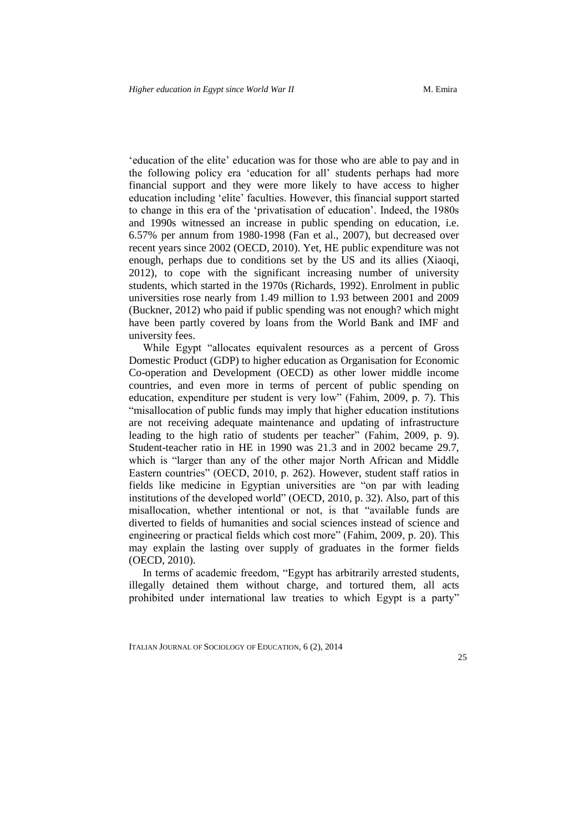'education of the elite' education was for those who are able to pay and in the following policy era 'education for all' students perhaps had more financial support and they were more likely to have access to higher education including 'elite' faculties. However, this financial support started to change in this era of the 'privatisation of education'. Indeed, the 1980s and 1990s witnessed an increase in public spending on education, i.e. 6.57% per annum from 1980-1998 (Fan et al., 2007), but decreased over recent years since 2002 (OECD, 2010). Yet, HE public expenditure was not enough, perhaps due to conditions set by the US and its allies (Xiaoqi, 2012), to cope with the significant increasing number of university students, which started in the 1970s (Richards, 1992). Enrolment in public universities rose nearly from 1.49 million to 1.93 between 2001 and 2009 (Buckner, 2012) who paid if public spending was not enough? which might have been partly covered by loans from the World Bank and IMF and university fees.

While Egypt "allocates equivalent resources as a percent of Gross Domestic Product (GDP) to higher education as Organisation for Economic Co-operation and Development (OECD) as other lower middle income countries, and even more in terms of percent of public spending on education, expenditure per student is very low" (Fahim, 2009, p. 7). This "misallocation of public funds may imply that higher education institutions are not receiving adequate maintenance and updating of infrastructure leading to the high ratio of students per teacher" (Fahim, 2009, p. 9). Student-teacher ratio in HE in 1990 was 21.3 and in 2002 became 29.7, which is "larger than any of the other major North African and Middle Eastern countries" (OECD, 2010, p. 262). However, student staff ratios in fields like medicine in Egyptian universities are "on par with leading institutions of the developed world" (OECD, 2010, p. 32). Also, part of this misallocation, whether intentional or not, is that "available funds are diverted to fields of humanities and social sciences instead of science and engineering or practical fields which cost more" (Fahim, 2009, p. 20). This may explain the lasting over supply of graduates in the former fields (OECD, 2010).

In terms of academic freedom, "Egypt has arbitrarily arrested students, illegally detained them without charge, and tortured them, all acts prohibited under international law treaties to which Egypt is a party"

ITALIAN JOURNAL OF SOCIOLOGY OF EDUCATION, 6 (2), 2014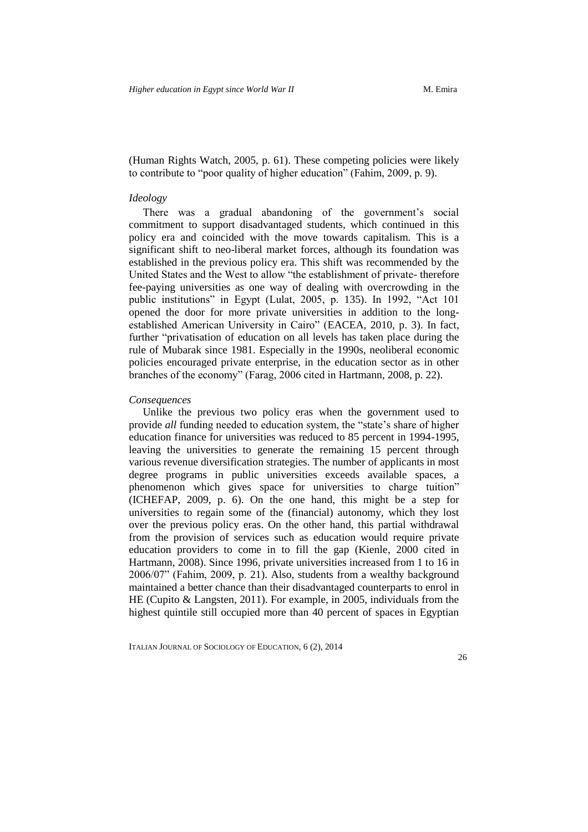(Human Rights Watch, 2005, p. 61). These competing policies were likely to contribute to "poor quality of higher education" (Fahim, 2009, p. 9).

#### *Ideology*

There was a gradual abandoning of the government's social commitment to support disadvantaged students, which continued in this policy era and coincided with the move towards capitalism. This is a significant shift to neo-liberal market forces, although its foundation was established in the previous policy era. This shift was recommended by the United States and the West to allow "the establishment of private- therefore fee-paying universities as one way of dealing with overcrowding in the public institutions" in Egypt (Lulat, 2005, p. 135). In 1992, "Act 101 opened the door for more private universities in addition to the longestablished American University in Cairo" (EACEA, 2010, p. 3). In fact, further "privatisation of education on all levels has taken place during the rule of Mubarak since 1981. Especially in the 1990s, neoliberal economic policies encouraged private enterprise, in the education sector as in other branches of the economy" (Farag, 2006 cited in Hartmann, 2008, p. 22).

#### *Consequences*

Unlike the previous two policy eras when the government used to provide *all* funding needed to education system, the "state's share of higher education finance for universities was reduced to 85 percent in 1994-1995, leaving the universities to generate the remaining 15 percent through various revenue diversification strategies. The number of applicants in most degree programs in public universities exceeds available spaces, a phenomenon which gives space for universities to charge tuition" (ICHEFAP, 2009, p. 6). On the one hand, this might be a step for universities to regain some of the (financial) autonomy, which they lost over the previous policy eras. On the other hand, this partial withdrawal from the provision of services such as education would require private education providers to come in to fill the gap (Kienle, 2000 cited in Hartmann, 2008). Since 1996, private universities increased from 1 to 16 in 2006/07" (Fahim, 2009, p. 21). Also, students from a wealthy background maintained a better chance than their disadvantaged counterparts to enrol in HE (Cupito & Langsten, 2011). For example, in 2005, individuals from the highest quintile still occupied more than 40 percent of spaces in Egyptian

ITALIAN JOURNAL OF SOCIOLOGY OF EDUCATION, 6 (2), 2014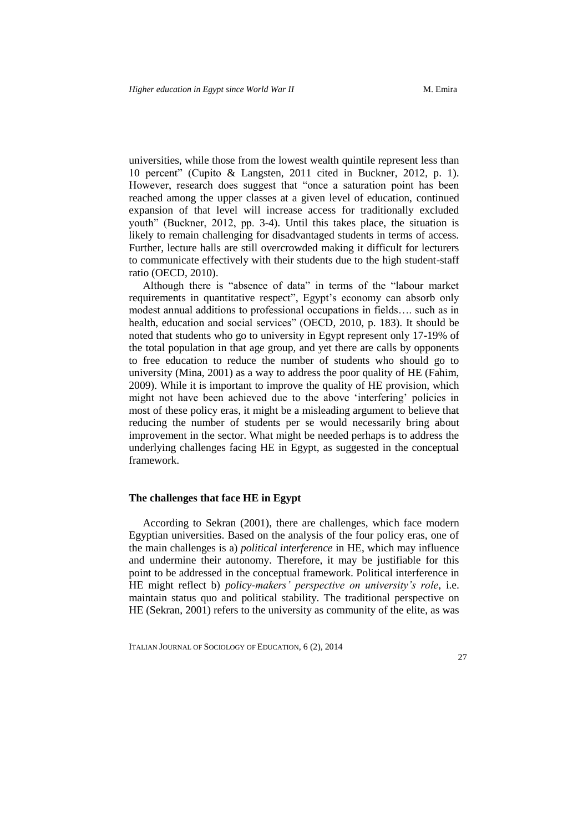universities, while those from the lowest wealth quintile represent less than 10 percent" (Cupito & Langsten, 2011 cited in Buckner, 2012, p. 1). However, research does suggest that "once a saturation point has been reached among the upper classes at a given level of education, continued expansion of that level will increase access for traditionally excluded youth" (Buckner, 2012, pp. 3-4). Until this takes place, the situation is likely to remain challenging for disadvantaged students in terms of access. Further, lecture halls are still overcrowded making it difficult for lecturers to communicate effectively with their students due to the high student-staff ratio (OECD, 2010).

Although there is "absence of data" in terms of the "labour market requirements in quantitative respect", Egypt's economy can absorb only modest annual additions to professional occupations in fields…. such as in health, education and social services" (OECD, 2010, p. 183). It should be noted that students who go to university in Egypt represent only 17-19% of the total population in that age group, and yet there are calls by opponents to free education to reduce the number of students who should go to university (Mina, 2001) as a way to address the poor quality of HE (Fahim, 2009). While it is important to improve the quality of HE provision, which might not have been achieved due to the above 'interfering' policies in most of these policy eras, it might be a misleading argument to believe that reducing the number of students per se would necessarily bring about improvement in the sector. What might be needed perhaps is to address the underlying challenges facing HE in Egypt, as suggested in the conceptual framework.

# **The challenges that face HE in Egypt**

According to Sekran (2001), there are challenges, which face modern Egyptian universities. Based on the analysis of the four policy eras, one of the main challenges is a) *political interference* in HE, which may influence and undermine their autonomy. Therefore, it may be justifiable for this point to be addressed in the conceptual framework. Political interference in HE might reflect b) *policy-makers' perspective on university's role*, i.e. maintain status quo and political stability. The traditional perspective on HE (Sekran, 2001) refers to the university as community of the elite, as was

ITALIAN JOURNAL OF SOCIOLOGY OF EDUCATION, 6 (2), 2014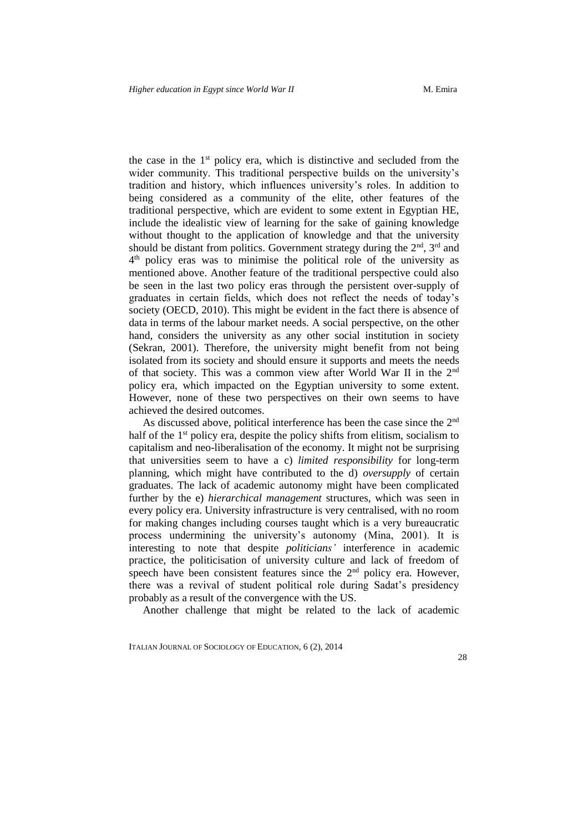the case in the  $1<sup>st</sup>$  policy era, which is distinctive and secluded from the wider community. This traditional perspective builds on the university's tradition and history, which influences university's roles. In addition to being considered as a community of the elite, other features of the traditional perspective, which are evident to some extent in Egyptian HE, include the idealistic view of learning for the sake of gaining knowledge without thought to the application of knowledge and that the university should be distant from politics. Government strategy during the  $2<sup>nd</sup>$ ,  $3<sup>rd</sup>$  and 4 th policy eras was to minimise the political role of the university as mentioned above. Another feature of the traditional perspective could also be seen in the last two policy eras through the persistent over-supply of graduates in certain fields, which does not reflect the needs of today's society (OECD, 2010). This might be evident in the fact there is absence of data in terms of the labour market needs. A social perspective, on the other hand, considers the university as any other social institution in society (Sekran, 2001). Therefore, the university might benefit from not being isolated from its society and should ensure it supports and meets the needs of that society. This was a common view after World War II in the 2nd policy era, which impacted on the Egyptian university to some extent. However, none of these two perspectives on their own seems to have achieved the desired outcomes.

As discussed above, political interference has been the case since the 2nd half of the 1<sup>st</sup> policy era, despite the policy shifts from elitism, socialism to capitalism and neo-liberalisation of the economy. It might not be surprising that universities seem to have a c) *limited responsibility* for long-term planning, which might have contributed to the d) *oversupply* of certain graduates. The lack of academic autonomy might have been complicated further by the e) *hierarchical management* structures, which was seen in every policy era. University infrastructure is very centralised, with no room for making changes including courses taught which is a very bureaucratic process undermining the university's autonomy (Mina, 2001). It is interesting to note that despite *politicians'* interference in academic practice, the politicisation of university culture and lack of freedom of speech have been consistent features since the 2<sup>nd</sup> policy era. However, there was a revival of student political role during Sadat's presidency probably as a result of the convergence with the US.

Another challenge that might be related to the lack of academic

ITALIAN JOURNAL OF SOCIOLOGY OF EDUCATION, 6 (2), 2014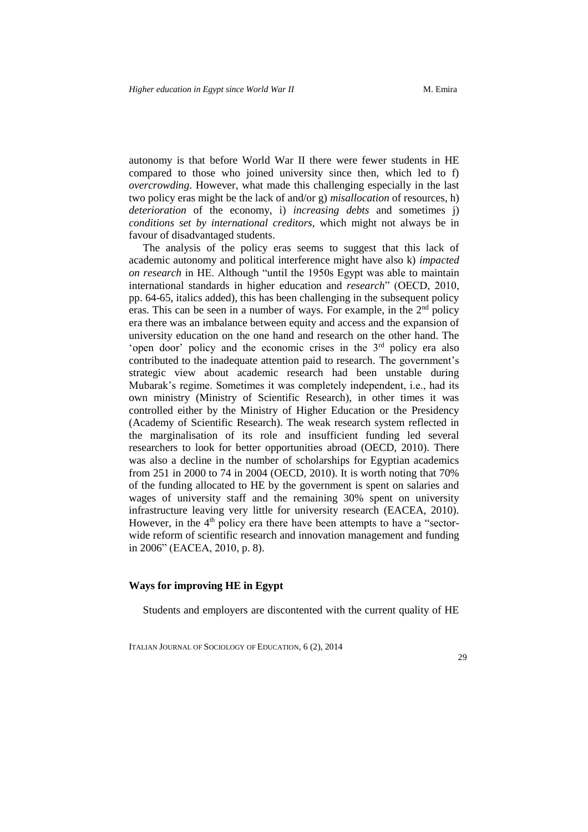autonomy is that before World War II there were fewer students in HE compared to those who joined university since then, which led to f) *overcrowding*. However, what made this challenging especially in the last two policy eras might be the lack of and/or g) *misallocation* of resources, h) *deterioration* of the economy, i) *increasing debts* and sometimes j) *conditions set by international creditors*, which might not always be in favour of disadvantaged students.

The analysis of the policy eras seems to suggest that this lack of academic autonomy and political interference might have also k) *impacted on research* in HE. Although "until the 1950s Egypt was able to maintain international standards in higher education and *research*" (OECD, 2010, pp. 64-65, italics added), this has been challenging in the subsequent policy eras. This can be seen in a number of ways. For example, in the  $2<sup>nd</sup>$  policy era there was an imbalance between equity and access and the expansion of university education on the one hand and research on the other hand. The 'open door' policy and the economic crises in the  $3<sup>rd</sup>$  policy era also contributed to the inadequate attention paid to research. The government's strategic view about academic research had been unstable during Mubarak's regime. Sometimes it was completely independent, i.e., had its own ministry (Ministry of Scientific Research), in other times it was controlled either by the Ministry of Higher Education or the Presidency (Academy of Scientific Research). The weak research system reflected in the marginalisation of its role and insufficient funding led several researchers to look for better opportunities abroad (OECD, 2010). There was also a decline in the number of scholarships for Egyptian academics from 251 in 2000 to 74 in 2004 (OECD, 2010). It is worth noting that 70% of the funding allocated to HE by the government is spent on salaries and wages of university staff and the remaining 30% spent on university infrastructure leaving very little for university research (EACEA, 2010). However, in the  $4<sup>th</sup>$  policy era there have been attempts to have a "sectorwide reform of scientific research and innovation management and funding in 2006" (EACEA, 2010, p. 8).

# **Ways for improving HE in Egypt**

Students and employers are discontented with the current quality of HE

ITALIAN JOURNAL OF SOCIOLOGY OF EDUCATION, 6 (2), 2014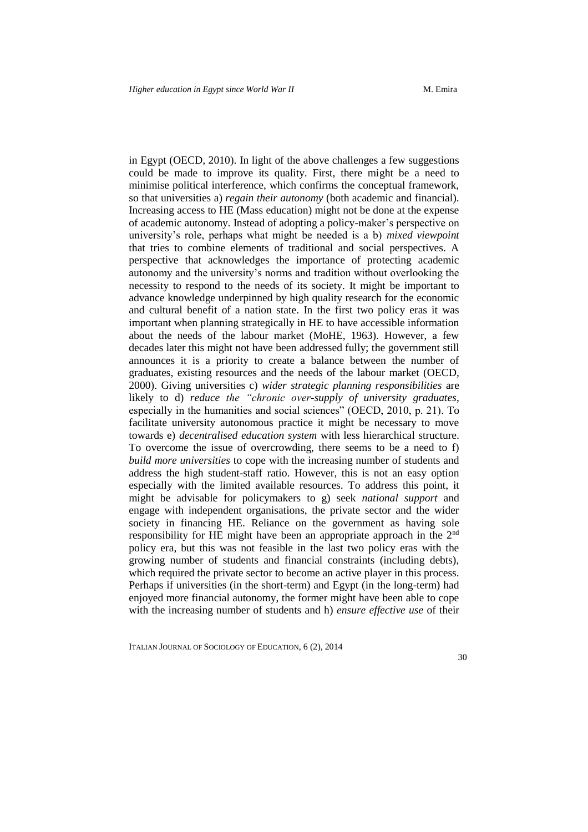in Egypt (OECD, 2010). In light of the above challenges a few suggestions could be made to improve its quality. First, there might be a need to minimise political interference, which confirms the conceptual framework, so that universities a) *regain their autonomy* (both academic and financial). Increasing access to HE (Mass education) might not be done at the expense of academic autonomy. Instead of adopting a policy-maker's perspective on university's role, perhaps what might be needed is a b) *mixed viewpoint* that tries to combine elements of traditional and social perspectives. A perspective that acknowledges the importance of protecting academic autonomy and the university's norms and tradition without overlooking the necessity to respond to the needs of its society. It might be important to advance knowledge underpinned by high quality research for the economic and cultural benefit of a nation state. In the first two policy eras it was important when planning strategically in HE to have accessible information about the needs of the labour market (MoHE, 1963). However, a few decades later this might not have been addressed fully; the government still announces it is a priority to create a balance between the number of graduates, existing resources and the needs of the labour market (OECD, 2000). Giving universities c) *wider strategic planning responsibilities* are likely to d) *reduce the "chronic over-supply of university graduates*, especially in the humanities and social sciences" (OECD, 2010, p. 21). To facilitate university autonomous practice it might be necessary to move towards e) *decentralised education system* with less hierarchical structure. To overcome the issue of overcrowding, there seems to be a need to f) *build more universities* to cope with the increasing number of students and address the high student-staff ratio. However, this is not an easy option especially with the limited available resources. To address this point, it might be advisable for policymakers to g) seek *national support* and engage with independent organisations, the private sector and the wider society in financing HE. Reliance on the government as having sole responsibility for HE might have been an appropriate approach in the 2nd policy era, but this was not feasible in the last two policy eras with the growing number of students and financial constraints (including debts), which required the private sector to become an active player in this process. Perhaps if universities (in the short-term) and Egypt (in the long-term) had enjoyed more financial autonomy, the former might have been able to cope with the increasing number of students and h) *ensure effective use* of their

ITALIAN JOURNAL OF SOCIOLOGY OF EDUCATION, 6 (2), 2014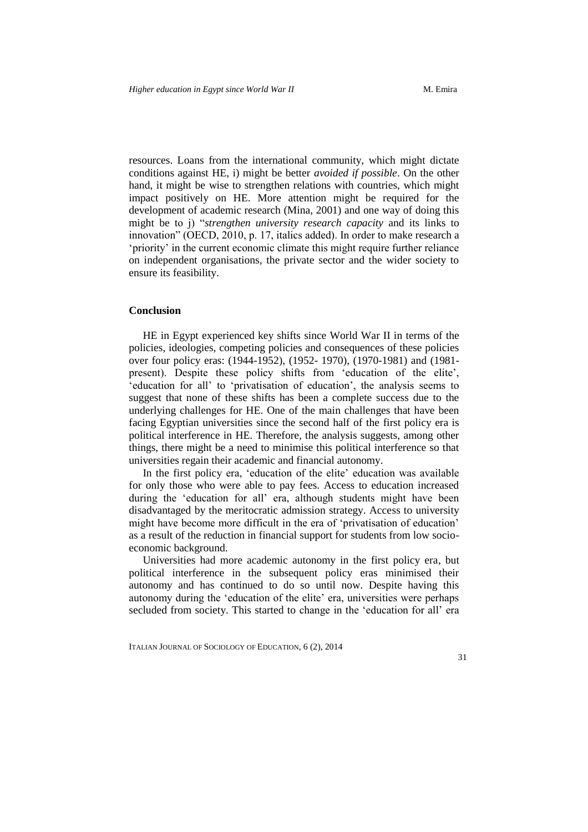resources. Loans from the international community, which might dictate conditions against HE, i) might be better *avoided if possible*. On the other hand, it might be wise to strengthen relations with countries, which might impact positively on HE. More attention might be required for the development of academic research (Mina, 2001) and one way of doing this might be to j) "*strengthen university research capacity* and its links to innovation" (OECD, 2010, p. 17, italics added). In order to make research a 'priority' in the current economic climate this might require further reliance on independent organisations, the private sector and the wider society to ensure its feasibility.

#### **Conclusion**

HE in Egypt experienced key shifts since World War II in terms of the policies, ideologies, competing policies and consequences of these policies over four policy eras: (1944-1952), (1952- 1970), (1970-1981) and (1981 present). Despite these policy shifts from 'education of the elite', 'education for all' to 'privatisation of education', the analysis seems to suggest that none of these shifts has been a complete success due to the underlying challenges for HE. One of the main challenges that have been facing Egyptian universities since the second half of the first policy era is political interference in HE. Therefore, the analysis suggests, among other things, there might be a need to minimise this political interference so that universities regain their academic and financial autonomy.

In the first policy era, 'education of the elite' education was available for only those who were able to pay fees. Access to education increased during the 'education for all' era, although students might have been disadvantaged by the meritocratic admission strategy. Access to university might have become more difficult in the era of 'privatisation of education' as a result of the reduction in financial support for students from low socioeconomic background.

Universities had more academic autonomy in the first policy era, but political interference in the subsequent policy eras minimised their autonomy and has continued to do so until now. Despite having this autonomy during the 'education of the elite' era, universities were perhaps secluded from society. This started to change in the 'education for all' era

ITALIAN JOURNAL OF SOCIOLOGY OF EDUCATION, 6 (2), 2014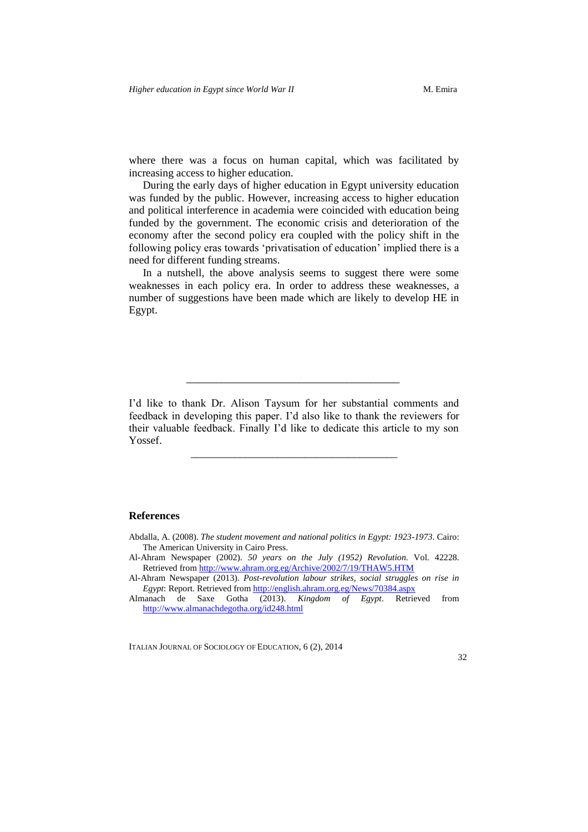where there was a focus on human capital, which was facilitated by increasing access to higher education.

During the early days of higher education in Egypt university education was funded by the public. However, increasing access to higher education and political interference in academia were coincided with education being funded by the government. The economic crisis and deterioration of the economy after the second policy era coupled with the policy shift in the following policy eras towards 'privatisation of education' implied there is a need for different funding streams.

In a nutshell, the above analysis seems to suggest there were some weaknesses in each policy era. In order to address these weaknesses, a number of suggestions have been made which are likely to develop HE in Egypt.

I'd like to thank Dr. Alison Taysum for her substantial comments and feedback in developing this paper. I'd also like to thank the reviewers for their valuable feedback. Finally I'd like to dedicate this article to my son Yossef.

\_\_\_\_\_\_\_\_\_\_\_\_\_\_\_\_\_\_\_\_\_\_\_\_\_\_\_\_\_\_\_\_\_\_\_\_\_\_

\_\_\_\_\_\_\_\_\_\_\_\_\_\_\_\_\_\_\_\_\_\_\_\_\_\_\_\_\_\_\_\_\_\_\_\_

#### **References**

ITALIAN JOURNAL OF SOCIOLOGY OF EDUCATION, 6 (2), 2014

Abdalla, A. (2008). *The student movement and national politics in Egypt: 1923-1973*. Cairo: The American University in Cairo Press.

Al-Ahram Newspaper (2002). *50 years on the July (1952) Revolution.* Vol. 42228. Retrieved from <http://www.ahram.org.eg/Archive/2002/7/19/THAW5.HTM>

Al-Ahram Newspaper (2013). *Post-revolution labour strikes, social struggles on rise in Egypt*: Report. Retrieved from <http://english.ahram.org.eg/News/70384.aspx>

Almanach de Saxe Gotha (2013). *Kingdom of Egypt*. Retrieved from <http://www.almanachdegotha.org/id248.html>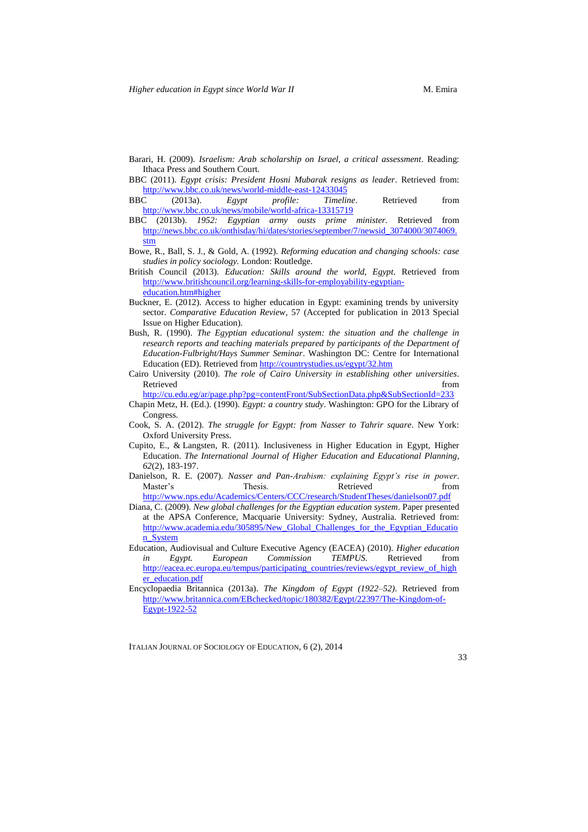- Barari, H. (2009). *Israelism: Arab scholarship on Israel, a critical assessment*. Reading: Ithaca Press and Southern Court.
- BBC (2011). *Egypt crisis: President Hosni Mubarak resigns as leader*. Retrieved from: <http://www.bbc.co.uk/news/world-middle-east-12433045><br>BBC (2013a). Egypt profile: Timeline.
- BBC (2013a). *Egypt profile: Timeline*. Retrieved from <http://www.bbc.co.uk/news/mobile/world-africa-13315719>
- BBC (2013b). *1952: Egyptian army ousts prime minister.* Retrieved from [http://news.bbc.co.uk/onthisday/hi/dates/stories/september/7/newsid\\_3074000/3074069.](http://news.bbc.co.uk/onthisday/hi/dates/stories/september/7/newsid_3074000/3074069.stm) [stm](http://news.bbc.co.uk/onthisday/hi/dates/stories/september/7/newsid_3074000/3074069.stm)
- Bowe, R., Ball, S. J., & Gold, A. (1992). *Reforming education and changing schools: case studies in policy sociology.* London: Routledge.
- British Council (2013). *Education: Skills around the world, Egypt*. Retrieved from [http://www.britishcouncil.org/learning-skills-for-employability-egyptian](http://www.britishcouncil.org/learning-skills-for-employability-egyptian-education.htm#higher)[education.htm#higher](http://www.britishcouncil.org/learning-skills-for-employability-egyptian-education.htm#higher)
- Buckner, E. (2012). Access to higher education in Egypt: examining trends by university sector. *Comparative Education Review*, 57 (Accepted for publication in 2013 Special Issue on Higher Education).
- Bush, R. (1990). *The Egyptian educational system: the situation and the challenge in research reports and teaching materials prepared by participants of the Department of Education-Fulbright/Hays Summer Seminar*. Washington DC: Centre for International Education (ED). Retrieved from <http://countrystudies.us/egypt/32.htm>
- Cairo University (2010). *The role of Cairo University in establishing other universities*. Retrieved from  $\blacksquare$
- <http://cu.edu.eg/ar/page.php?pg=contentFront/SubSectionData.php&SubSectionId=233> Chapin Metz, H. (Ed.). (1990). *Egypt: a country study*. Washington: GPO for the Library of Congress.
- Cook, S. A. (2012). *The struggle for Egypt: from Nasser to Tahrir square*. New York: Oxford University Press.
- Cupito, E., & Langsten, R. (2011). Inclusiveness in Higher Education in Egypt, Higher Education. *The International Journal of Higher Education and Educational Planning*, *62*(2), 183-197.
- Danielson, R. E. (2007). *Nasser and Pan-Arabism: explaining Egypt's rise in power*. Master's Thesis. Retrieved from <http://www.nps.edu/Academics/Centers/CCC/research/StudentTheses/danielson07.pdf>
- Diana, C. (2009). *New global challenges for the Egyptian education system*. Paper presented at the APSA Conference, Macquarie University: Sydney, Australia. Retrieved from: [http://www.academia.edu/305895/New\\_Global\\_Challenges\\_for\\_the\\_Egyptian\\_Educatio](http://www.academia.edu/305895/New_Global_Challenges_for_the_Egyptian_Education_System) [n\\_System](http://www.academia.edu/305895/New_Global_Challenges_for_the_Egyptian_Education_System)
- Education, Audiovisual and Culture Executive Agency (EACEA) (2010). *Higher education in Egypt. European Commission TEMPUS.* Retrieved from [http://eacea.ec.europa.eu/tempus/participating\\_countries/reviews/egypt\\_review\\_of\\_high](http://eacea.ec.europa.eu/tempus/participating_countries/reviews/egypt_review_of_higher_education.pdf) [er\\_education.pdf](http://eacea.ec.europa.eu/tempus/participating_countries/reviews/egypt_review_of_higher_education.pdf)
- Encyclopaedia Britannica (2013a). *The Kingdom of Egypt (1922–52)*. Retrieved from [http://www.britannica.com/EBchecked/topic/180382/Egypt/22397/The-Kingdom-of-](http://www.britannica.com/EBchecked/topic/180382/Egypt/22397/The-Kingdom-of-Egypt-1922-52)[Egypt-1922-52](http://www.britannica.com/EBchecked/topic/180382/Egypt/22397/The-Kingdom-of-Egypt-1922-52)

ITALIAN JOURNAL OF SOCIOLOGY OF EDUCATION, 6 (2), 2014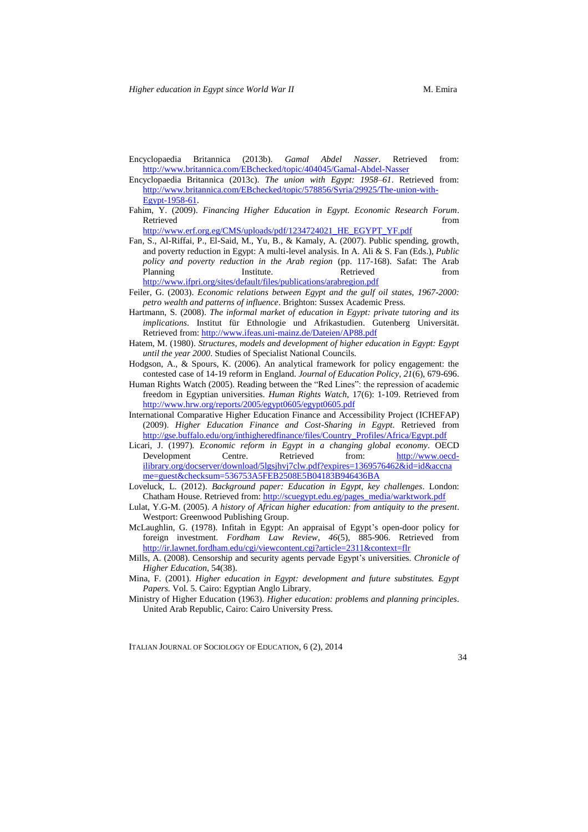- Encyclopaedia Britannica (2013b). *Gamal Abdel Nasser*. Retrieved from: <http://www.britannica.com/EBchecked/topic/404045/Gamal-Abdel-Nasser>
- Encyclopaedia Britannica (2013c). *The union with Egypt: 1958–61*. Retrieved from: [http://www.britannica.com/EBchecked/topic/578856/Syria/29925/The-union-with-](http://www.britannica.com/EBchecked/topic/578856/Syria/29925/The-union-with-Egypt-1958-61)[Egypt-1958-61.](http://www.britannica.com/EBchecked/topic/578856/Syria/29925/The-union-with-Egypt-1958-61)
- Fahim, Y. (2009). *Financing Higher Education in Egypt. Economic Research Forum*. Retrieved from  $\blacksquare$ [http://www.erf.org.eg/CMS/uploads/pdf/1234724021\\_HE\\_EGYPT\\_YF.pdf](http://www.erf.org.eg/CMS/uploads/pdf/1234724021_HE_EGYPT_YF.pdf)
- Fan, S., Al-Riffai, P., El-Said, M., Yu, B., & Kamaly, A. (2007). Public spending, growth, and poverty reduction in Egypt: A multi-level analysis. In A. Ali & S. Fan (Eds.), *Public policy and poverty reduction in the Arab region* (pp. 117-168). Safat: The Arab Planning Institute. Retrieved from <http://www.ifpri.org/sites/default/files/publications/arabregion.pdf>
- Feiler, G. (2003). *Economic relations between Egypt and the gulf oil states, 1967-2000: petro wealth and patterns of influence*. Brighton: Sussex Academic Press.
- Hartmann, S. (2008). *The informal market of education in Egypt: private tutoring and its implications*. Institut für Ethnologie und Afrikastudien. Gutenberg Universität. Retrieved from: <http://www.ifeas.uni-mainz.de/Dateien/AP88.pdf>
- Hatem, M. (1980). *Structures, models and development of higher education in Egypt: Egypt until the year 2000*. Studies of Specialist National Councils.
- Hodgson, A., & Spours, K. (2006). An analytical framework for policy engagement: the contested case of 14-19 reform in England. *Journal of Education Policy*, *21*(6), 679-696.
- Human Rights Watch (2005). Reading between the "Red Lines": the repression of academic freedom in Egyptian universities. *Human Rights Watch*, 17(6): 1-109. Retrieved from <http://www.hrw.org/reports/2005/egypt0605/egypt0605.pdf>
- International Comparative Higher Education Finance and Accessibility Project (ICHEFAP) (2009). *Higher Education Finance and Cost-Sharing in Egypt*. Retrieved from [http://gse.buffalo.edu/org/inthigheredfinance/files/Country\\_Profiles/Africa/Egypt.pdf](http://gse.buffalo.edu/org/inthigheredfinance/files/Country_Profiles/Africa/Egypt.pdf)
- Licari, J. (1997). *Economic reform in Egypt in a changing global economy*. OECD Development Centre. Retrieved from: [http://www.oecd](http://www.oecd-ilibrary.org/docserver/download/5lgsjhvj7clw.pdf?expires=1369576462&id=id&accname=guest&checksum=536753A5FEB2508E5B04183B946436BA)[ilibrary.org/docserver/download/5lgsjhvj7clw.pdf?expires=1369576462&id=id&accna](http://www.oecd-ilibrary.org/docserver/download/5lgsjhvj7clw.pdf?expires=1369576462&id=id&accname=guest&checksum=536753A5FEB2508E5B04183B946436BA) [me=guest&checksum=536753A5FEB2508E5B04183B946436BA](http://www.oecd-ilibrary.org/docserver/download/5lgsjhvj7clw.pdf?expires=1369576462&id=id&accname=guest&checksum=536753A5FEB2508E5B04183B946436BA)
- Loveluck, L. (2012). *Background paper: Education in Egypt, key challenges*. London: Chatham House. Retrieved from: [http://scuegypt.edu.eg/pages\\_media/warktwork.pdf](http://scuegypt.edu.eg/pages_media/warktwork.pdf)
- Lulat, Y.G-M. (2005). *A history of African higher education: from antiquity to the present*. Westport: Greenwood Publishing Group.
- McLaughlin, G. (1978). Infitah in Egypt: An appraisal of Egypt's open-door policy for foreign investment. *Fordham Law Review*, *46*(5), 885-906. Retrieved from <http://ir.lawnet.fordham.edu/cgi/viewcontent.cgi?article=2311&context=flr>
- Mills, A. (2008). Censorship and security agents pervade Egypt's universities. *Chronicle of Higher Education*, 54(38).
- Mina, F. (2001). *Higher education in Egypt: development and future substitutes. Egypt Papers.* Vol. 5. Cairo: Egyptian Anglo Library.
- Ministry of Higher Education (1963). *Higher education: problems and planning principles*. United Arab Republic, Cairo: Cairo University Press.

ITALIAN JOURNAL OF SOCIOLOGY OF EDUCATION, 6 (2), 2014